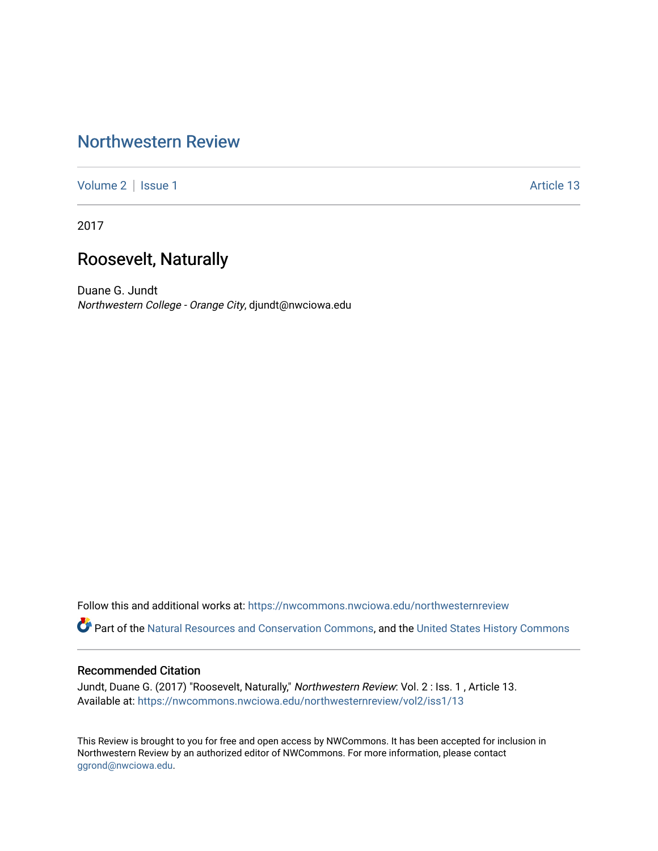# [Northwestern Review](https://nwcommons.nwciowa.edu/northwesternreview)

[Volume 2](https://nwcommons.nwciowa.edu/northwesternreview/vol2) | [Issue 1](https://nwcommons.nwciowa.edu/northwesternreview/vol2/iss1) Article 13

2017

# Roosevelt, Naturally

Duane G. Jundt Northwestern College - Orange City, djundt@nwciowa.edu

Follow this and additional works at: [https://nwcommons.nwciowa.edu/northwesternreview](https://nwcommons.nwciowa.edu/northwesternreview?utm_source=nwcommons.nwciowa.edu%2Fnorthwesternreview%2Fvol2%2Fiss1%2F13&utm_medium=PDF&utm_campaign=PDFCoverPages) 

Part of the [Natural Resources and Conservation Commons,](http://network.bepress.com/hgg/discipline/168?utm_source=nwcommons.nwciowa.edu%2Fnorthwesternreview%2Fvol2%2Fiss1%2F13&utm_medium=PDF&utm_campaign=PDFCoverPages) and the [United States History Commons](http://network.bepress.com/hgg/discipline/495?utm_source=nwcommons.nwciowa.edu%2Fnorthwesternreview%2Fvol2%2Fiss1%2F13&utm_medium=PDF&utm_campaign=PDFCoverPages)

#### Recommended Citation

Jundt, Duane G. (2017) "Roosevelt, Naturally," Northwestern Review: Vol. 2 : Iss. 1 , Article 13. Available at: [https://nwcommons.nwciowa.edu/northwesternreview/vol2/iss1/13](https://nwcommons.nwciowa.edu/northwesternreview/vol2/iss1/13?utm_source=nwcommons.nwciowa.edu%2Fnorthwesternreview%2Fvol2%2Fiss1%2F13&utm_medium=PDF&utm_campaign=PDFCoverPages) 

This Review is brought to you for free and open access by NWCommons. It has been accepted for inclusion in Northwestern Review by an authorized editor of NWCommons. For more information, please contact [ggrond@nwciowa.edu.](mailto:ggrond@nwciowa.edu)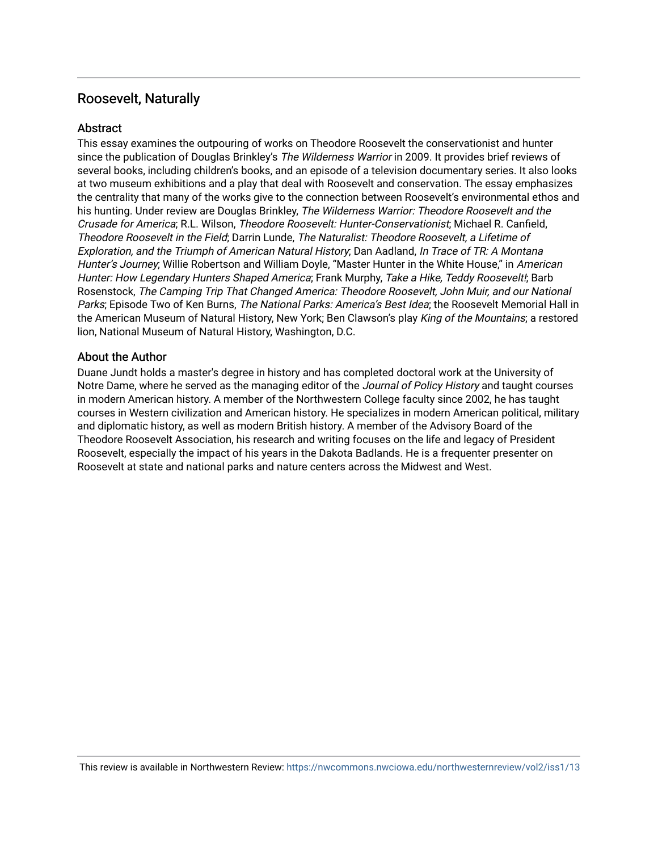## Roosevelt, Naturally

#### **Abstract**

This essay examines the outpouring of works on Theodore Roosevelt the conservationist and hunter since the publication of Douglas Brinkley's The Wilderness Warrior in 2009. It provides brief reviews of several books, including children's books, and an episode of a television documentary series. It also looks at two museum exhibitions and a play that deal with Roosevelt and conservation. The essay emphasizes the centrality that many of the works give to the connection between Roosevelt's environmental ethos and his hunting. Under review are Douglas Brinkley, The Wilderness Warrior: Theodore Roosevelt and the Crusade for America; R.L. Wilson, Theodore Roosevelt: Hunter-Conservationist; Michael R. Canfield, Theodore Roosevelt in the Field; Darrin Lunde, The Naturalist: Theodore Roosevelt, a Lifetime of Exploration, and the Triumph of American Natural History; Dan Aadland, In Trace of TR: A Montana Hunter's Journey; Willie Robertson and William Doyle, "Master Hunter in the White House," in American Hunter: How Legendary Hunters Shaped America; Frank Murphy, Take a Hike, Teddy Roosevelt!; Barb Rosenstock, The Camping Trip That Changed America: Theodore Roosevelt, John Muir, and our National Parks; Episode Two of Ken Burns, The National Parks: America's Best Idea; the Roosevelt Memorial Hall in the American Museum of Natural History, New York; Ben Clawson's play King of the Mountains; a restored lion, National Museum of Natural History, Washington, D.C.

#### About the Author

Duane Jundt holds a master's degree in history and has completed doctoral work at the University of Notre Dame, where he served as the managing editor of the Journal of Policy History and taught courses in modern American history. A member of the Northwestern College faculty since 2002, he has taught courses in Western civilization and American history. He specializes in modern American political, military and diplomatic history, as well as modern British history. A member of the Advisory Board of the Theodore Roosevelt Association, his research and writing focuses on the life and legacy of President Roosevelt, especially the impact of his years in the Dakota Badlands. He is a frequenter presenter on Roosevelt at state and national parks and nature centers across the Midwest and West.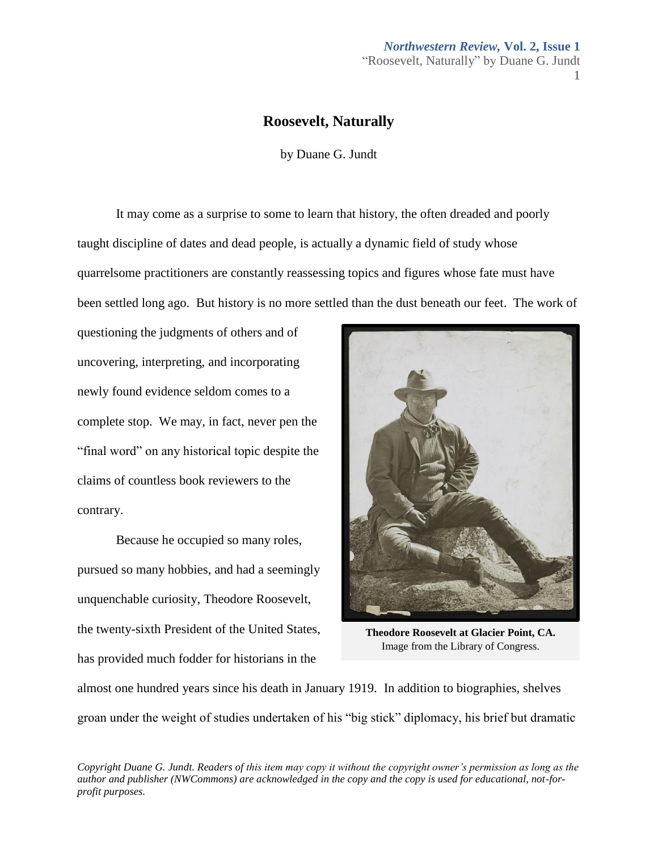# *Northwestern Review,* **Vol. 2, Issue 1** "Roosevelt, Naturally" by Duane G. Jundt

1

### **Roosevelt, Naturally**

by Duane G. Jundt

It may come as a surprise to some to learn that history, the often dreaded and poorly taught discipline of dates and dead people, is actually a dynamic field of study whose quarrelsome practitioners are constantly reassessing topics and figures whose fate must have been settled long ago. But history is no more settled than the dust beneath our feet. The work of

questioning the judgments of others and of uncovering, interpreting, and incorporating newly found evidence seldom comes to a complete stop. We may, in fact, never pen the "final word" on any historical topic despite the claims of countless book reviewers to the contrary.

Because he occupied so many roles, pursued so many hobbies, and had a seemingly unquenchable curiosity, Theodore Roosevelt, the twenty-sixth President of the United States, has provided much fodder for historians in the



**Theodore Roosevelt at Glacier Point, CA.**  Image from the Library of Congress.

almost one hundred years since his death in January 1919. In addition to biographies, shelves groan under the weight of studies undertaken of his "big stick" diplomacy, his brief but dramatic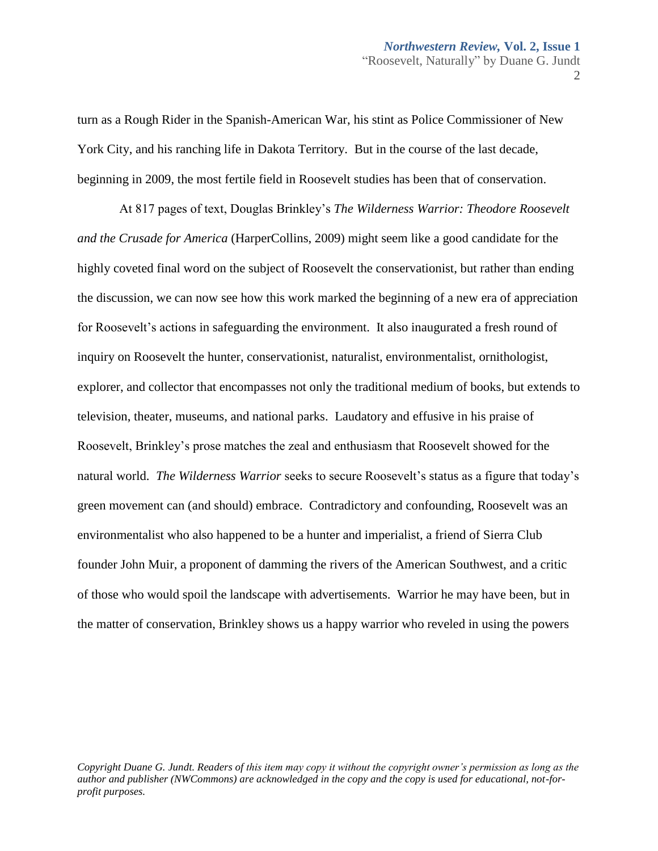turn as a Rough Rider in the Spanish-American War, his stint as Police Commissioner of New York City, and his ranching life in Dakota Territory. But in the course of the last decade, beginning in 2009, the most fertile field in Roosevelt studies has been that of conservation.

At 817 pages of text, Douglas Brinkley's *The Wilderness Warrior: Theodore Roosevelt and the Crusade for America* (HarperCollins, 2009) might seem like a good candidate for the highly coveted final word on the subject of Roosevelt the conservationist, but rather than ending the discussion, we can now see how this work marked the beginning of a new era of appreciation for Roosevelt's actions in safeguarding the environment. It also inaugurated a fresh round of inquiry on Roosevelt the hunter, conservationist, naturalist, environmentalist, ornithologist, explorer, and collector that encompasses not only the traditional medium of books, but extends to television, theater, museums, and national parks. Laudatory and effusive in his praise of Roosevelt, Brinkley's prose matches the zeal and enthusiasm that Roosevelt showed for the natural world. *The Wilderness Warrior* seeks to secure Roosevelt's status as a figure that today's green movement can (and should) embrace. Contradictory and confounding, Roosevelt was an environmentalist who also happened to be a hunter and imperialist, a friend of Sierra Club founder John Muir, a proponent of damming the rivers of the American Southwest, and a critic of those who would spoil the landscape with advertisements. Warrior he may have been, but in the matter of conservation, Brinkley shows us a happy warrior who reveled in using the powers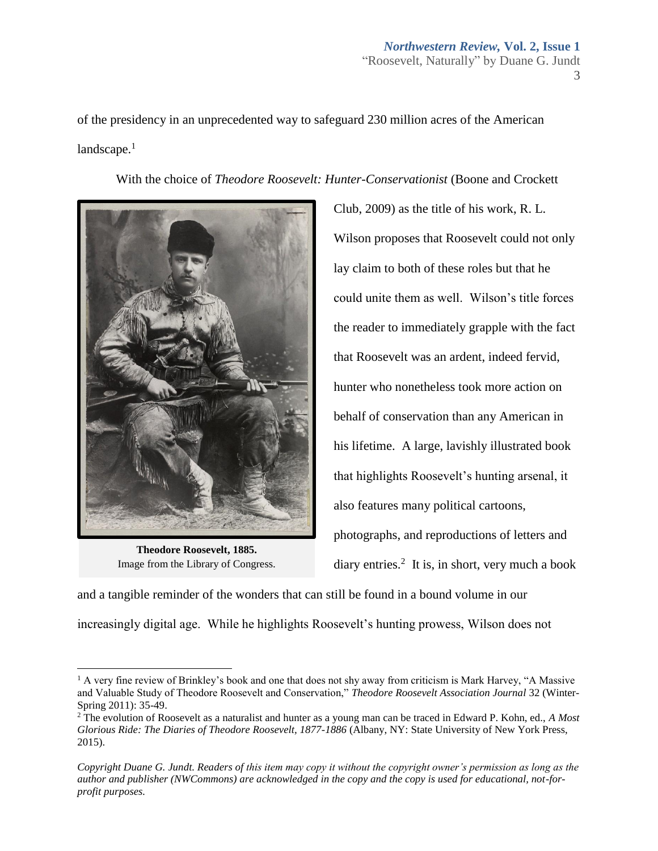of the presidency in an unprecedented way to safeguard 230 million acres of the American  $land \text{scape}.$ <sup>1</sup>

With the choice of *Theodore Roosevelt: Hunter-Conservationist* (Boone and Crockett



**Theodore Roosevelt, 1885.**  Image from the Library of Congress.

 $\overline{\phantom{a}}$ 

Club, 2009) as the title of his work, R. L. Wilson proposes that Roosevelt could not only lay claim to both of these roles but that he could unite them as well. Wilson's title forces the reader to immediately grapple with the fact that Roosevelt was an ardent, indeed fervid, hunter who nonetheless took more action on behalf of conservation than any American in his lifetime. A large, lavishly illustrated book that highlights Roosevelt's hunting arsenal, it also features many political cartoons, photographs, and reproductions of letters and diary entries.<sup>2</sup> It is, in short, very much a book

and a tangible reminder of the wonders that can still be found in a bound volume in our increasingly digital age. While he highlights Roosevelt's hunting prowess, Wilson does not

 $<sup>1</sup>$  A very fine review of Brinkley's book and one that does not shy away from criticism is Mark Harvey, "A Massive</sup> and Valuable Study of Theodore Roosevelt and Conservation," *Theodore Roosevelt Association Journal* 32 (Winter-Spring 2011): 35-49.

<sup>2</sup> The evolution of Roosevelt as a naturalist and hunter as a young man can be traced in Edward P. Kohn, ed., *A Most Glorious Ride: The Diaries of Theodore Roosevelt, 1877-1886 (Albany, NY: State University of New York Press,* 2015).

*Copyright Duane G. Jundt. Readers of this item may copy it without the copyright owner's permission as long as the author and publisher (NWCommons) are acknowledged in the copy and the copy is used for educational, not-forprofit purposes.*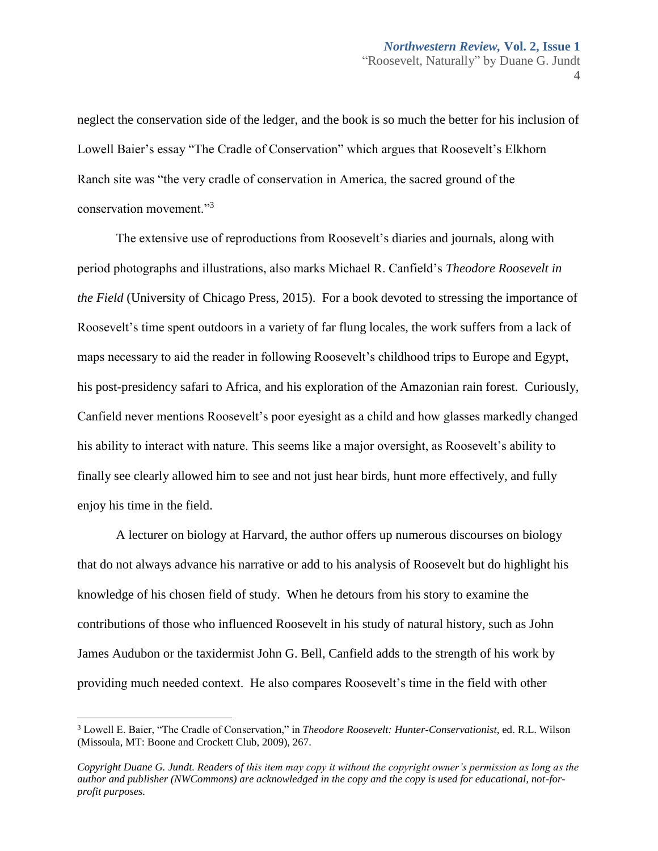neglect the conservation side of the ledger, and the book is so much the better for his inclusion of Lowell Baier's essay "The Cradle of Conservation" which argues that Roosevelt's Elkhorn Ranch site was "the very cradle of conservation in America, the sacred ground of the conservation movement."<sup>3</sup>

The extensive use of reproductions from Roosevelt's diaries and journals, along with period photographs and illustrations, also marks Michael R. Canfield's *Theodore Roosevelt in the Field* (University of Chicago Press, 2015). For a book devoted to stressing the importance of Roosevelt's time spent outdoors in a variety of far flung locales, the work suffers from a lack of maps necessary to aid the reader in following Roosevelt's childhood trips to Europe and Egypt, his post-presidency safari to Africa, and his exploration of the Amazonian rain forest. Curiously, Canfield never mentions Roosevelt's poor eyesight as a child and how glasses markedly changed his ability to interact with nature. This seems like a major oversight, as Roosevelt's ability to finally see clearly allowed him to see and not just hear birds, hunt more effectively, and fully enjoy his time in the field.

A lecturer on biology at Harvard, the author offers up numerous discourses on biology that do not always advance his narrative or add to his analysis of Roosevelt but do highlight his knowledge of his chosen field of study. When he detours from his story to examine the contributions of those who influenced Roosevelt in his study of natural history, such as John James Audubon or the taxidermist John G. Bell, Canfield adds to the strength of his work by providing much needed context. He also compares Roosevelt's time in the field with other

 $\overline{\phantom{a}}$ 

<sup>3</sup> Lowell E. Baier, "The Cradle of Conservation," in *Theodore Roosevelt: Hunter-Conservationist*, ed. R.L. Wilson (Missoula, MT: Boone and Crockett Club, 2009), 267.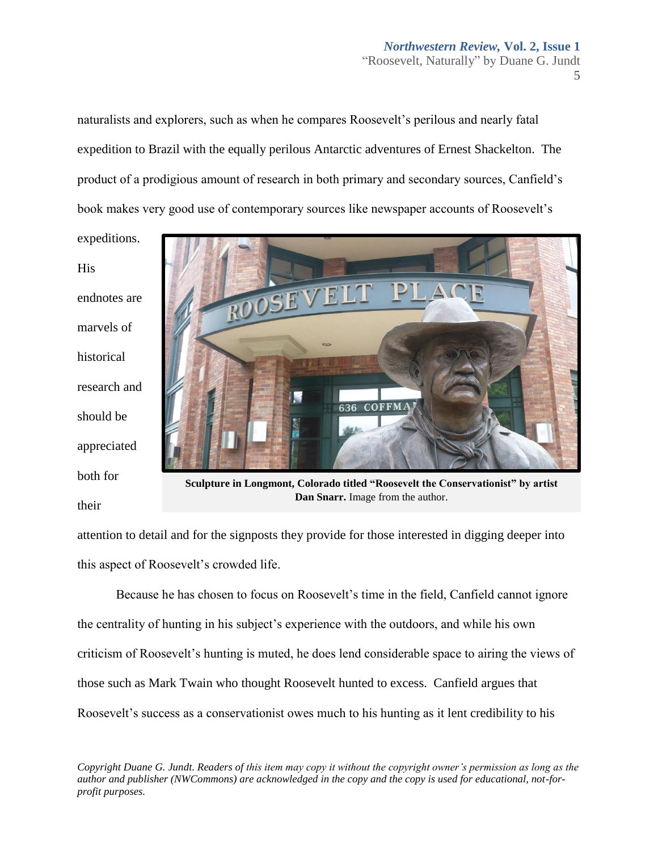naturalists and explorers, such as when he compares Roosevelt's perilous and nearly fatal expedition to Brazil with the equally perilous Antarctic adventures of Ernest Shackelton. The product of a prodigious amount of research in both primary and secondary sources, Canfield's book makes very good use of contemporary sources like newspaper accounts of Roosevelt's

expeditions. His endnotes are marvels of historical research and should be appreciated both for their



**Sculpture in Longmont, Colorado titled "Roosevelt the Conservationist" by artist Dan Snarr.** Image from the author.

attention to detail and for the signposts they provide for those interested in digging deeper into this aspect of Roosevelt's crowded life.

Because he has chosen to focus on Roosevelt's time in the field, Canfield cannot ignore the centrality of hunting in his subject's experience with the outdoors, and while his own criticism of Roosevelt's hunting is muted, he does lend considerable space to airing the views of those such as Mark Twain who thought Roosevelt hunted to excess. Canfield argues that Roosevelt's success as a conservationist owes much to his hunting as it lent credibility to his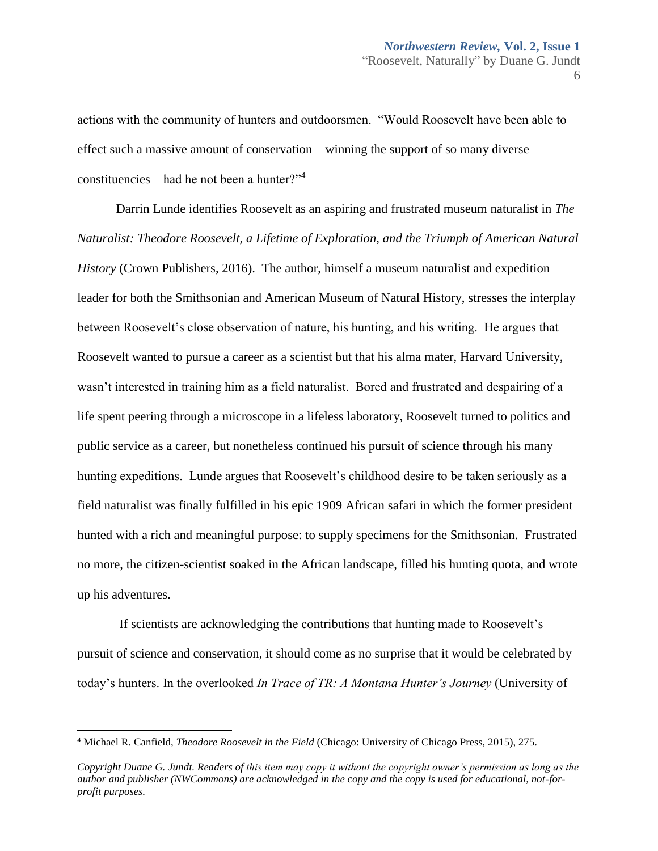actions with the community of hunters and outdoorsmen. "Would Roosevelt have been able to effect such a massive amount of conservation—winning the support of so many diverse constituencies—had he not been a hunter?"<sup>4</sup>

Darrin Lunde identifies Roosevelt as an aspiring and frustrated museum naturalist in *The Naturalist: Theodore Roosevelt, a Lifetime of Exploration, and the Triumph of American Natural History* (Crown Publishers, 2016). The author, himself a museum naturalist and expedition leader for both the Smithsonian and American Museum of Natural History, stresses the interplay between Roosevelt's close observation of nature, his hunting, and his writing. He argues that Roosevelt wanted to pursue a career as a scientist but that his alma mater, Harvard University, wasn't interested in training him as a field naturalist. Bored and frustrated and despairing of a life spent peering through a microscope in a lifeless laboratory, Roosevelt turned to politics and public service as a career, but nonetheless continued his pursuit of science through his many hunting expeditions. Lunde argues that Roosevelt's childhood desire to be taken seriously as a field naturalist was finally fulfilled in his epic 1909 African safari in which the former president hunted with a rich and meaningful purpose: to supply specimens for the Smithsonian. Frustrated no more, the citizen-scientist soaked in the African landscape, filled his hunting quota, and wrote up his adventures.

If scientists are acknowledging the contributions that hunting made to Roosevelt's pursuit of science and conservation, it should come as no surprise that it would be celebrated by today's hunters. In the overlooked *In Trace of TR: A Montana Hunter's Journey* (University of

 $\overline{a}$ 

<sup>4</sup> Michael R. Canfield, *Theodore Roosevelt in the Field* (Chicago: University of Chicago Press, 2015), 275.

*Copyright Duane G. Jundt. Readers of this item may copy it without the copyright owner's permission as long as the author and publisher (NWCommons) are acknowledged in the copy and the copy is used for educational, not-forprofit purposes.*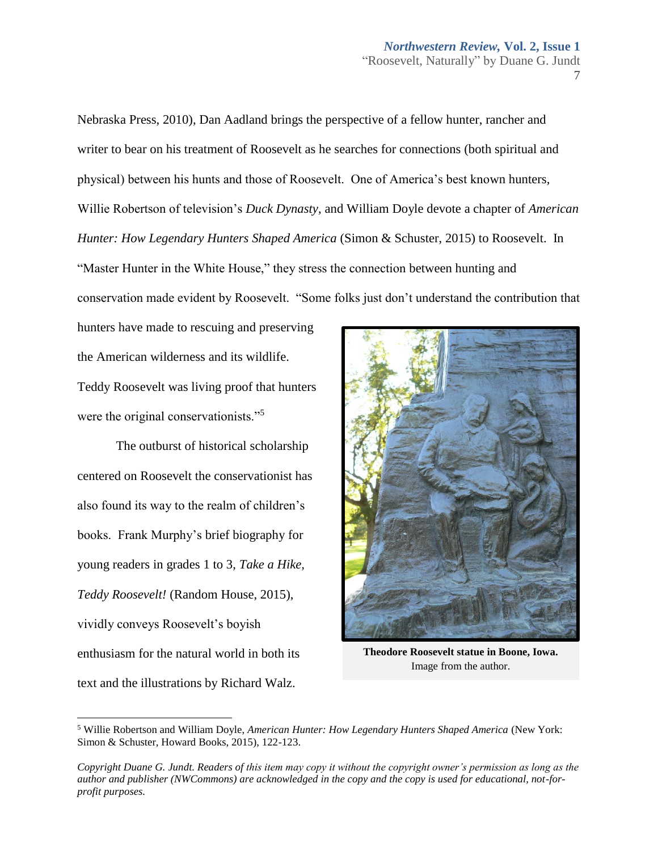Nebraska Press, 2010), Dan Aadland brings the perspective of a fellow hunter, rancher and writer to bear on his treatment of Roosevelt as he searches for connections (both spiritual and physical) between his hunts and those of Roosevelt. One of America's best known hunters, Willie Robertson of television's *Duck Dynasty*, and William Doyle devote a chapter of *American Hunter: How Legendary Hunters Shaped America* (Simon & Schuster, 2015) to Roosevelt. In "Master Hunter in the White House," they stress the connection between hunting and conservation made evident by Roosevelt. "Some folks just don't understand the contribution that

hunters have made to rescuing and preserving the American wilderness and its wildlife. Teddy Roosevelt was living proof that hunters were the original conservationists."<sup>5</sup>

The outburst of historical scholarship centered on Roosevelt the conservationist has also found its way to the realm of children's books. Frank Murphy's brief biography for young readers in grades 1 to 3, *Take a Hike, Teddy Roosevelt!* (Random House, 2015), vividly conveys Roosevelt's boyish enthusiasm for the natural world in both its text and the illustrations by Richard Walz.

 $\overline{\phantom{a}}$ 



**Theodore Roosevelt statue in Boone, Iowa.** Image from the author.

<sup>5</sup> Willie Robertson and William Doyle, *American Hunter: How Legendary Hunters Shaped America* (New York: Simon & Schuster, Howard Books, 2015), 122-123.

*Copyright Duane G. Jundt. Readers of this item may copy it without the copyright owner's permission as long as the author and publisher (NWCommons) are acknowledged in the copy and the copy is used for educational, not-forprofit purposes.*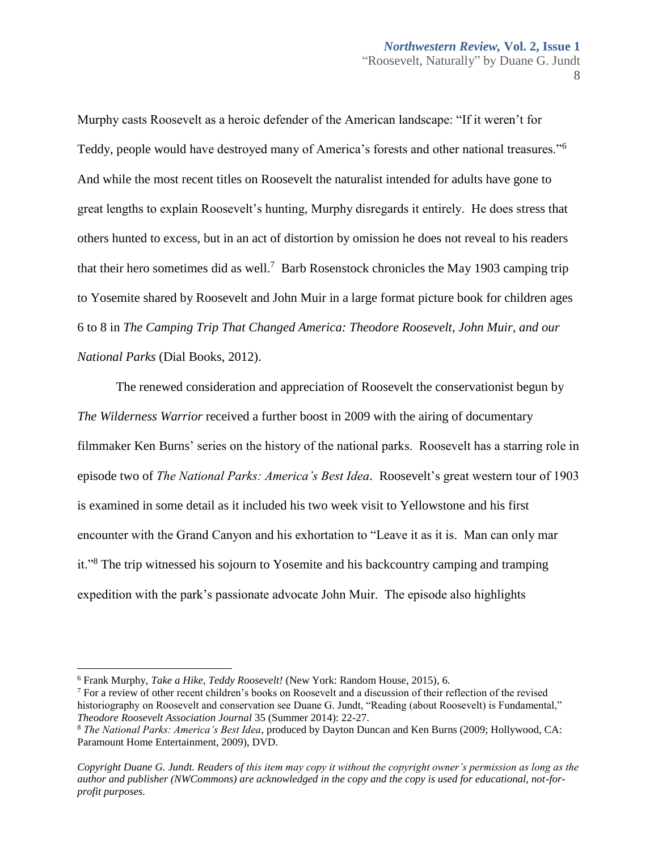Murphy casts Roosevelt as a heroic defender of the American landscape: "If it weren't for Teddy, people would have destroyed many of America's forests and other national treasures."<sup>6</sup> And while the most recent titles on Roosevelt the naturalist intended for adults have gone to great lengths to explain Roosevelt's hunting, Murphy disregards it entirely. He does stress that others hunted to excess, but in an act of distortion by omission he does not reveal to his readers that their hero sometimes did as well.<sup>7</sup> Barb Rosenstock chronicles the May 1903 camping trip to Yosemite shared by Roosevelt and John Muir in a large format picture book for children ages 6 to 8 in *The Camping Trip That Changed America: Theodore Roosevelt, John Muir, and our National Parks* (Dial Books, 2012).

The renewed consideration and appreciation of Roosevelt the conservationist begun by *The Wilderness Warrior* received a further boost in 2009 with the airing of documentary filmmaker Ken Burns' series on the history of the national parks. Roosevelt has a starring role in episode two of *The National Parks: America's Best Idea*. Roosevelt's great western tour of 1903 is examined in some detail as it included his two week visit to Yellowstone and his first encounter with the Grand Canyon and his exhortation to "Leave it as it is. Man can only mar it."<sup>8</sup> The trip witnessed his sojourn to Yosemite and his backcountry camping and tramping expedition with the park's passionate advocate John Muir. The episode also highlights

 $\overline{\phantom{a}}$ 

<sup>6</sup> Frank Murphy, *Take a Hike, Teddy Roosevelt!* (New York: Random House, 2015), 6.

 $<sup>7</sup>$  For a review of other recent children's books on Roosevelt and a discussion of their reflection of the revised</sup> historiography on Roosevelt and conservation see Duane G. Jundt, "Reading (about Roosevelt) is Fundamental," *Theodore Roosevelt Association Journal* 35 (Summer 2014): 22-27.

<sup>8</sup> *The National Parks: America's Best Idea*, produced by Dayton Duncan and Ken Burns (2009; Hollywood, CA: Paramount Home Entertainment, 2009), DVD.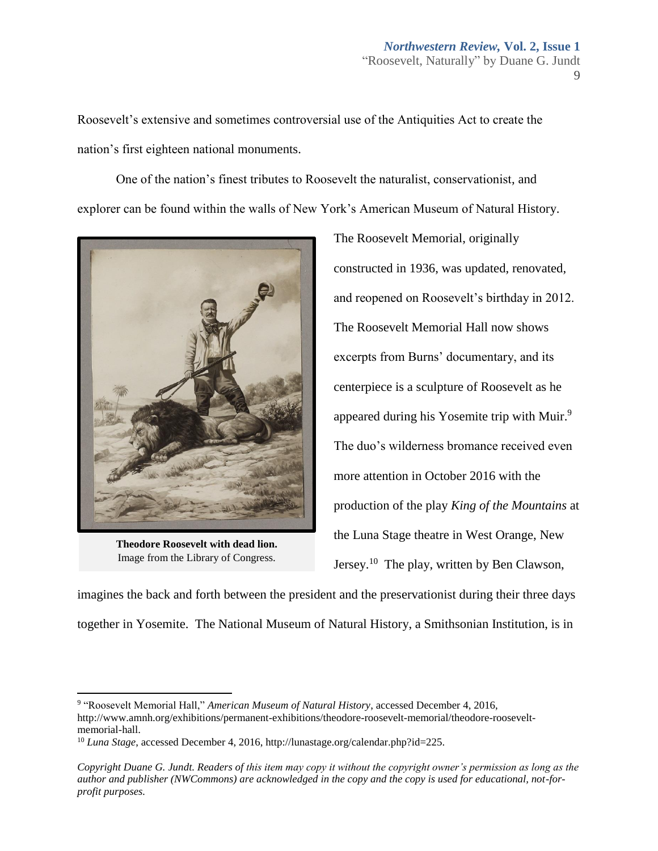Roosevelt's extensive and sometimes controversial use of the Antiquities Act to create the nation's first eighteen national monuments.

One of the nation's finest tributes to Roosevelt the naturalist, conservationist, and explorer can be found within the walls of New York's American Museum of Natural History.



**Theodore Roosevelt with dead lion.** Image from the Library of Congress.

l

The Roosevelt Memorial, originally constructed in 1936, was updated, renovated, and reopened on Roosevelt's birthday in 2012. The Roosevelt Memorial Hall now shows excerpts from Burns' documentary, and its centerpiece is a sculpture of Roosevelt as he appeared during his Yosemite trip with Muir.<sup>9</sup> The duo's wilderness bromance received even more attention in October 2016 with the production of the play *King of the Mountains* at the Luna Stage theatre in West Orange, New Jersey.<sup>10</sup> The play, written by Ben Clawson,

imagines the back and forth between the president and the preservationist during their three days together in Yosemite. The National Museum of Natural History, a Smithsonian Institution, is in

<sup>9</sup> "Roosevelt Memorial Hall," *American Museum of Natural History*, accessed December 4, 2016, http://www.amnh.org/exhibitions/permanent-exhibitions/theodore-roosevelt-memorial/theodore-rooseveltmemorial-hall.

<sup>10</sup> *Luna Stage*, accessed December 4, 2016, http://lunastage.org/calendar.php?id=225.

*Copyright Duane G. Jundt. Readers of this item may copy it without the copyright owner's permission as long as the author and publisher (NWCommons) are acknowledged in the copy and the copy is used for educational, not-forprofit purposes.*